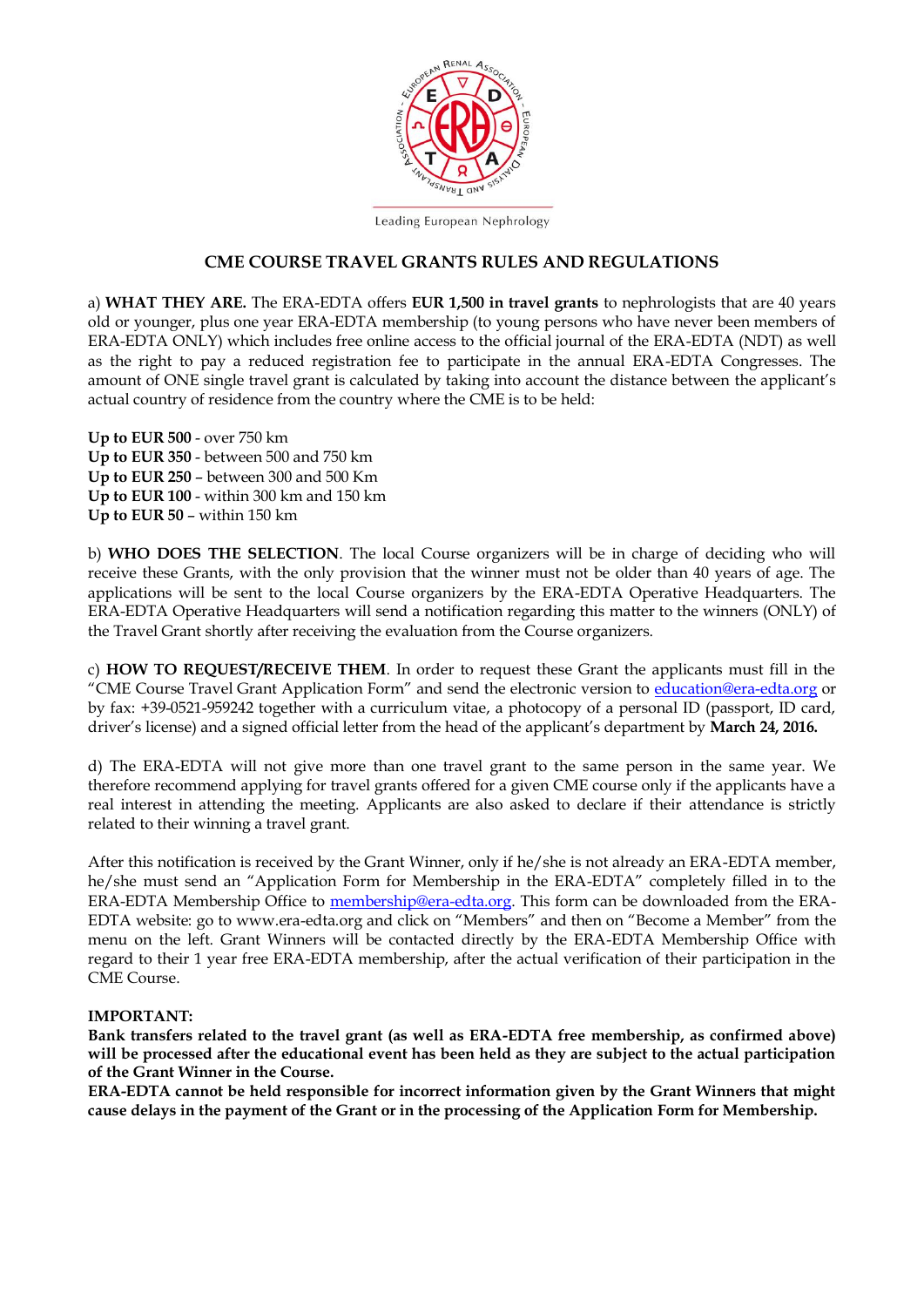

Leading European Nephrology

#### **CME COURSE TRAVEL GRANTS RULES AND REGULATIONS**

a) **WHAT THEY ARE.** The ERA-EDTA offers **EUR 1,500 in travel grants** to nephrologists that are 40 years old or younger, plus one year ERA-EDTA membership (to young persons who have never been members of ERA-EDTA ONLY) which includes free online access to the official journal of the ERA-EDTA (NDT) as well as the right to pay a reduced registration fee to participate in the annual ERA-EDTA Congresses. The amount of ONE single travel grant is calculated by taking into account the distance between the applicant's actual country of residence from the country where the CME is to be held:

**Up to EUR 500** - over 750 km **Up to EUR 350** - between 500 and 750 km **Up to EUR 250** – between 300 and 500 Km **Up to EUR 100** - within 300 km and 150 km **Up to EUR 50** – within 150 km

b) **WHO DOES THE SELECTION**. The local Course organizers will be in charge of deciding who will receive these Grants, with the only provision that the winner must not be older than 40 years of age. The applications will be sent to the local Course organizers by the ERA-EDTA Operative Headquarters. The ERA-EDTA Operative Headquarters will send a notification regarding this matter to the winners (ONLY) of the Travel Grant shortly after receiving the evaluation from the Course organizers.

c) **HOW TO REQUEST/RECEIVE THEM**. In order to request these Grant the applicants must fill in the "CME Course Travel Grant Application Form" and send the electronic version to [education@era-edta.org](mailto:education@era-edta.org) or by fax: +39-0521-959242 together with a curriculum vitae, a photocopy of a personal ID (passport, ID card, driver's license) and a signed official letter from the head of the applicant's department by **March 24, 2016.** 

d) The ERA-EDTA will not give more than one travel grant to the same person in the same year. We therefore recommend applying for travel grants offered for a given CME course only if the applicants have a real interest in attending the meeting. Applicants are also asked to declare if their attendance is strictly related to their winning a travel grant.

After this notification is received by the Grant Winner, only if he/she is not already an ERA-EDTA member, he/she must send an "Application Form for Membership in the ERA-EDTA" completely filled in to the ERA-EDTA Membership Office to [membership@era-edta.org.](mailto:membership@era-edta.org) This form can be downloaded from the ERA-EDTA website: go to www.era-edta.org and click on "Members" and then on "Become a Member" from the menu on the left. Grant Winners will be contacted directly by the ERA-EDTA Membership Office with regard to their 1 year free ERA-EDTA membership, after the actual verification of their participation in the CME Course.

#### **IMPORTANT:**

**Bank transfers related to the travel grant (as well as ERA-EDTA free membership, as confirmed above) will be processed after the educational event has been held as they are subject to the actual participation of the Grant Winner in the Course.** 

**ERA-EDTA cannot be held responsible for incorrect information given by the Grant Winners that might cause delays in the payment of the Grant or in the processing of the Application Form for Membership.**